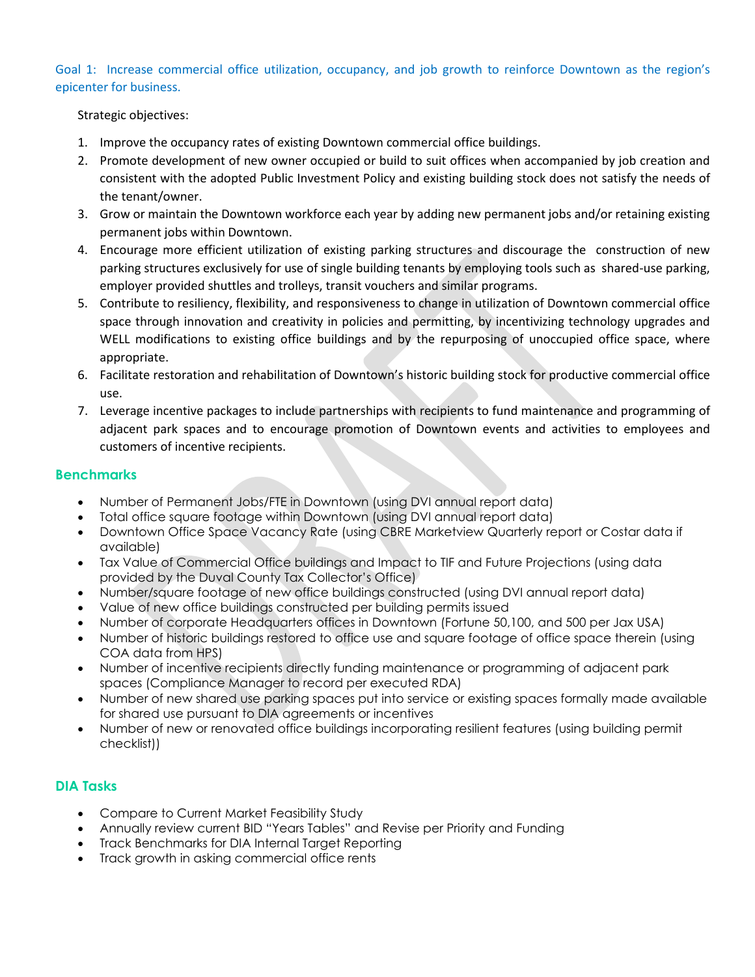Goal 1: Increase commercial office utilization, occupancy, and job growth to reinforce Downtown as the region's epicenter for business.

Strategic objectives:

- 1. Improve the occupancy rates of existing Downtown commercial office buildings.
- 2. Promote development of new owner occupied or build to suit offices when accompanied by job creation and consistent with the adopted Public Investment Policy and existing building stock does not satisfy the needs of the tenant/owner.
- 3. Grow or maintain the Downtown workforce each year by adding new permanent jobs and/or retaining existing permanent jobs within Downtown.
- 4. Encourage more efficient utilization of existing parking structures and discourage the construction of new parking structures exclusively for use of single building tenants by employing tools such as shared-use parking, employer provided shuttles and trolleys, transit vouchers and similar programs.
- 5. Contribute to resiliency, flexibility, and responsiveness to change in utilization of Downtown commercial office space through innovation and creativity in policies and permitting, by incentivizing technology upgrades and WELL modifications to existing office buildings and by the repurposing of unoccupied office space, where appropriate.
- 6. Facilitate restoration and rehabilitation of Downtown's historic building stock for productive commercial office use.
- 7. Leverage incentive packages to include partnerships with recipients to fund maintenance and programming of adjacent park spaces and to encourage promotion of Downtown events and activities to employees and customers of incentive recipients.

# **Benchmarks**

- Number of Permanent Jobs/FTE in Downtown (using DVI annual report data)
- Total office square footage within Downtown (using DVI annual report data)
- Downtown Office Space Vacancy Rate (using CBRE Marketview Quarterly report or Costar data if available)
- Tax Value of Commercial Office buildings and Impact to TIF and Future Projections (using data provided by the Duval County Tax Collector's Office)
- Number/square footage of new office buildings constructed (using DVI annual report data)
- Value of new office buildings constructed per building permits issued
- Number of corporate Headquarters offices in Downtown (Fortune 50,100, and 500 per Jax USA)
- Number of historic buildings restored to office use and square footage of office space therein (using COA data from HPS)
- Number of incentive recipients directly funding maintenance or programming of adjacent park spaces (Compliance Manager to record per executed RDA)
- Number of new shared use parking spaces put into service or existing spaces formally made available for shared use pursuant to DIA agreements or incentives
- Number of new or renovated office buildings incorporating resilient features (using building permit checklist))

- Compare to Current Market Feasibility Study
- Annually review current BID "Years Tables" and Revise per Priority and Funding
- Track Benchmarks for DIA Internal Taraet Reporting
- Track growth in asking commercial office rents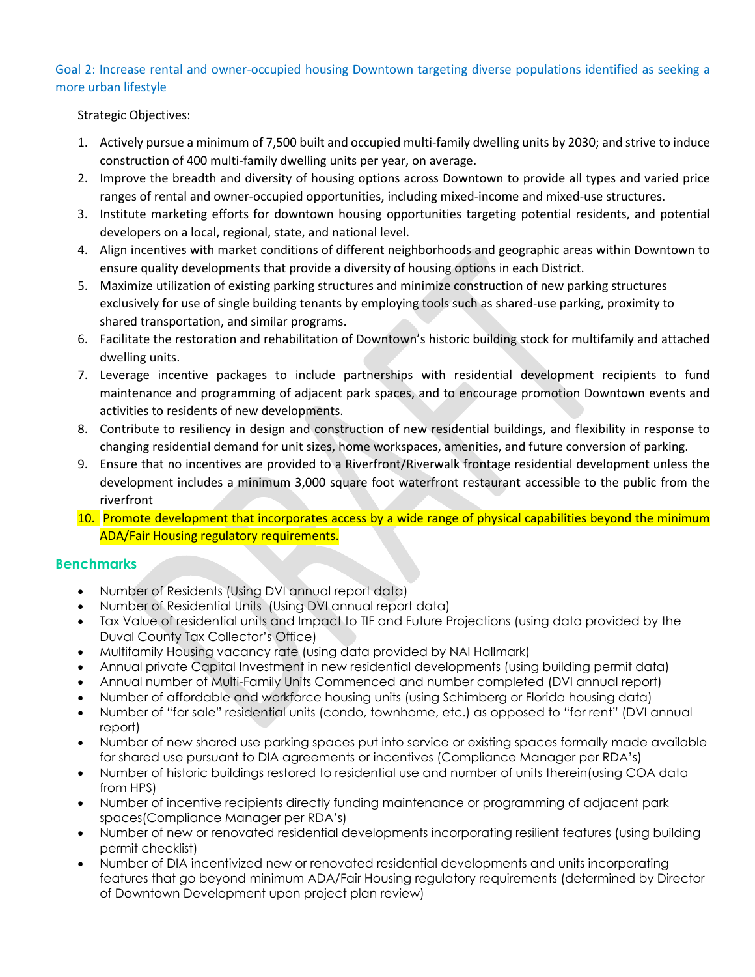## Goal 2: Increase rental and owner-occupied housing Downtown targeting diverse populations identified as seeking a more urban lifestyle

#### Strategic Objectives:

- 1. Actively pursue a minimum of 7,500 built and occupied multi-family dwelling units by 2030; and strive to induce construction of 400 multi-family dwelling units per year, on average.
- 2. Improve the breadth and diversity of housing options across Downtown to provide all types and varied price ranges of rental and owner-occupied opportunities, including mixed-income and mixed-use structures.
- 3. Institute marketing efforts for downtown housing opportunities targeting potential residents, and potential developers on a local, regional, state, and national level.
- 4. Align incentives with market conditions of different neighborhoods and geographic areas within Downtown to ensure quality developments that provide a diversity of housing options in each District.
- 5. Maximize utilization of existing parking structures and minimize construction of new parking structures exclusively for use of single building tenants by employing tools such as shared-use parking, proximity to shared transportation, and similar programs.
- 6. Facilitate the restoration and rehabilitation of Downtown's historic building stock for multifamily and attached dwelling units.
- 7. Leverage incentive packages to include partnerships with residential development recipients to fund maintenance and programming of adjacent park spaces, and to encourage promotion Downtown events and activities to residents of new developments.
- 8. Contribute to resiliency in design and construction of new residential buildings, and flexibility in response to changing residential demand for unit sizes, home workspaces, amenities, and future conversion of parking.
- 9. Ensure that no incentives are provided to a Riverfront/Riverwalk frontage residential development unless the development includes a minimum 3,000 square foot waterfront restaurant accessible to the public from the riverfront
- 10. Promote development that incorporates access by a wide range of physical capabilities beyond the minimum ADA/Fair Housing regulatory requirements.

- Number of Residents (Using DVI annual report data)
- Number of Residential Units (Using DVI annual report data)
- Tax Value of residential units and Impact to TIF and Future Projections (using data provided by the Duval County Tax Collector's Office)
- Multifamily Housing vacancy rate (using data provided by NAI Hallmark)
- Annual private Capital Investment in new residential developments (using building permit data)
- Annual number of Multi-Family Units Commenced and number completed (DVI annual report)
- Number of affordable and workforce housing units (using Schimberg or Florida housing data)
- Number of "for sale" residential units (condo, townhome, etc.) as opposed to "for rent" (DVI annual report)
- Number of new shared use parking spaces put into service or existing spaces formally made available for shared use pursuant to DIA agreements or incentives (Compliance Manager per RDA's)
- Number of historic buildings restored to residential use and number of units therein(using COA data from HPS)
- Number of incentive recipients directly funding maintenance or programming of adjacent park spaces(Compliance Manager per RDA's)
- Number of new or renovated residential developments incorporating resilient features (using building permit checklist)
- Number of DIA incentivized new or renovated residential developments and units incorporating features that go beyond minimum ADA/Fair Housing regulatory requirements (determined by Director of Downtown Development upon project plan review)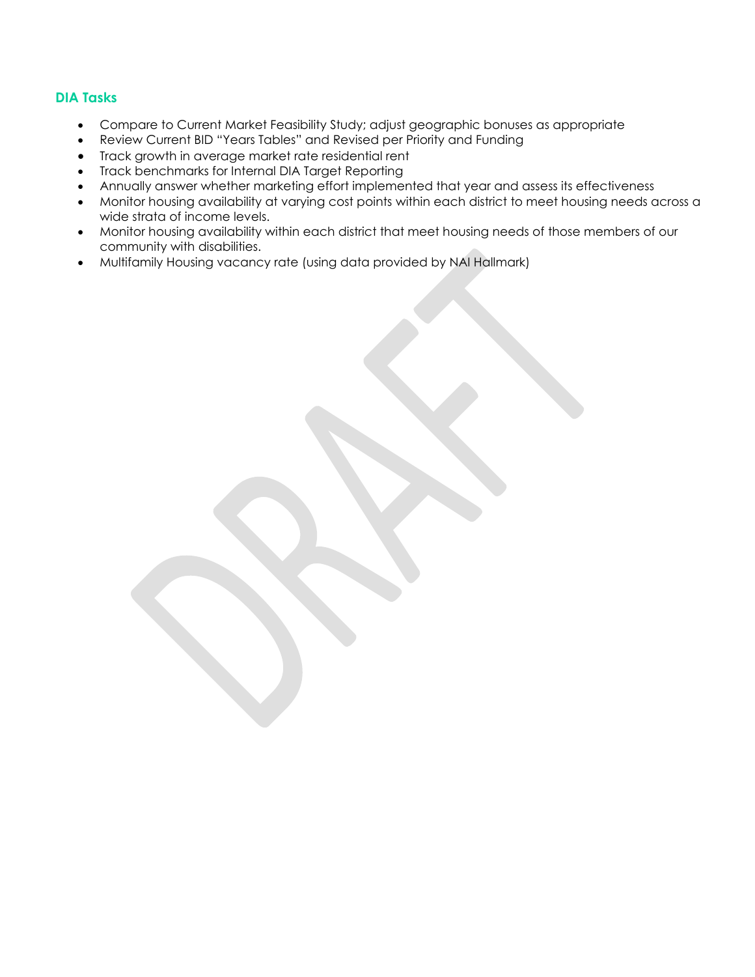- Compare to Current Market Feasibility Study; adjust geographic bonuses as appropriate
- Review Current BID "Years Tables" and Revised per Priority and Funding
- Track growth in average market rate residential rent
- Track benchmarks for Internal DIA Target Reporting
- Annually answer whether marketing effort implemented that year and assess its effectiveness
- Monitor housing availability at varying cost points within each district to meet housing needs across a wide strata of income levels.
- Monitor housing availability within each district that meet housing needs of those members of our community with disabilities.
- Multifamily Housing vacancy rate (using data provided by NAI Hallmark)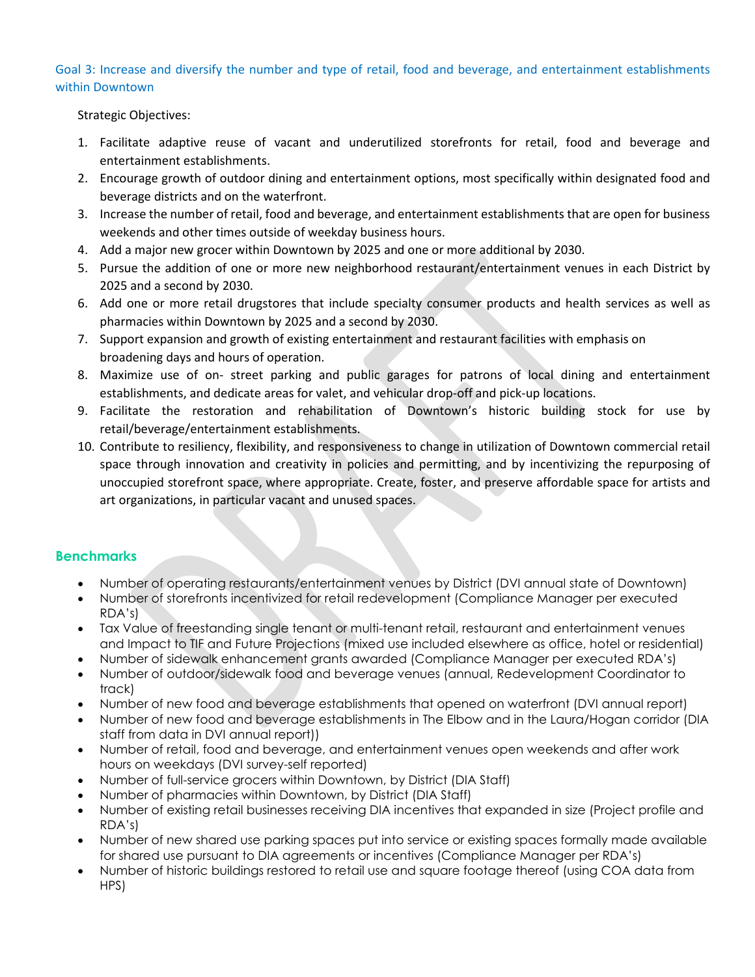#### Goal 3: Increase and diversify the number and type of retail, food and beverage, and entertainment establishments within Downtown

Strategic Objectives:

- 1. Facilitate adaptive reuse of vacant and underutilized storefronts for retail, food and beverage and entertainment establishments.
- 2. Encourage growth of outdoor dining and entertainment options, most specifically within designated food and beverage districts and on the waterfront.
- 3. Increase the number of retail, food and beverage, and entertainment establishments that are open for business weekends and other times outside of weekday business hours.
- 4. Add a major new grocer within Downtown by 2025 and one or more additional by 2030.
- 5. Pursue the addition of one or more new neighborhood restaurant/entertainment venues in each District by 2025 and a second by 2030.
- 6. Add one or more retail drugstores that include specialty consumer products and health services as well as pharmacies within Downtown by 2025 and a second by 2030.
- 7. Support expansion and growth of existing entertainment and restaurant facilities with emphasis on broadening days and hours of operation.
- 8. Maximize use of on- street parking and public garages for patrons of local dining and entertainment establishments, and dedicate areas for valet, and vehicular drop-off and pick-up locations.
- 9. Facilitate the restoration and rehabilitation of Downtown's historic building stock for use by retail/beverage/entertainment establishments.
- 10. Contribute to resiliency, flexibility, and responsiveness to change in utilization of Downtown commercial retail space through innovation and creativity in policies and permitting, and by incentivizing the repurposing of unoccupied storefront space, where appropriate. Create, foster, and preserve affordable space for artists and art organizations, in particular vacant and unused spaces.

- Number of operating restaurants/entertainment venues by District (DVI annual state of Downtown)
- Number of storefronts incentivized for retail redevelopment (Compliance Manager per executed RDA's)
- Tax Value of freestanding single tenant or multi-tenant retail, restaurant and entertainment venues and Impact to TIF and Future Projections (mixed use included elsewhere as office, hotel or residential)
- Number of sidewalk enhancement grants awarded (Compliance Manager per executed RDA's)
- Number of outdoor/sidewalk food and beverage venues (annual, Redevelopment Coordinator to track)
- Number of new food and beverage establishments that opened on waterfront (DVI annual report)
- Number of new food and beverage establishments in The Elbow and in the Laura/Hogan corridor (DIA staff from data in DVI annual report))
- Number of retail, food and beverage, and entertainment venues open weekends and after work hours on weekdays (DVI survey-self reported)
- Number of full-service grocers within Downtown, by District (DIA Staff)
- Number of pharmacies within Downtown, by District (DIA Staff)
- Number of existing retail businesses receiving DIA incentives that expanded in size (Project profile and RDA's)
- Number of new shared use parking spaces put into service or existing spaces formally made available for shared use pursuant to DIA agreements or incentives (Compliance Manager per RDA's)
- Number of historic buildings restored to retail use and square footage thereof (using COA data from HPS)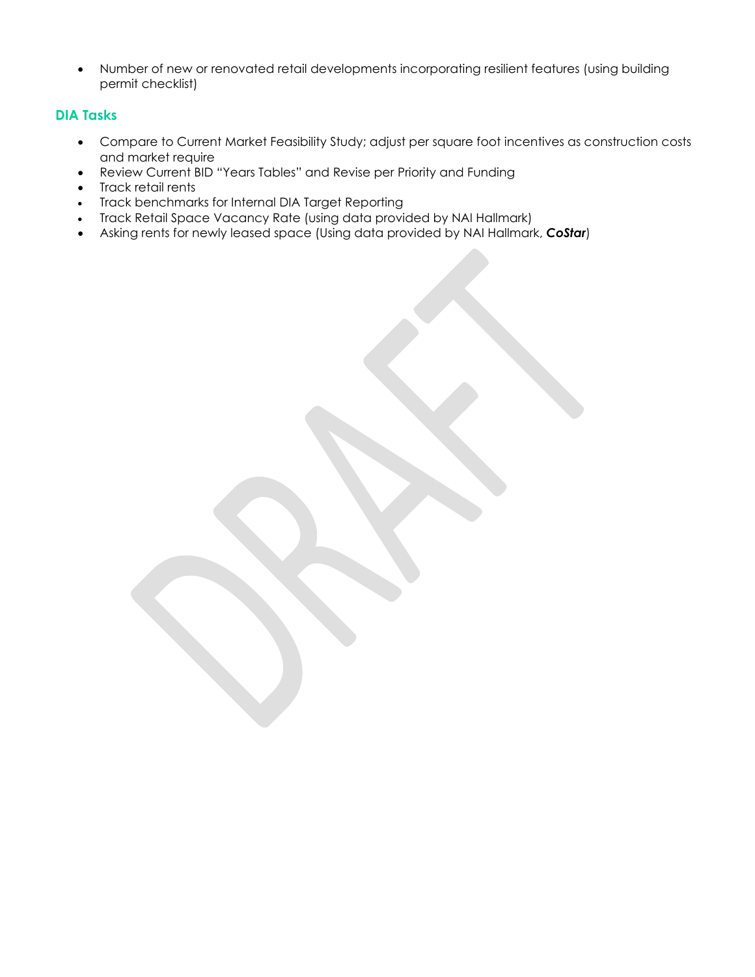• Number of new or renovated retail developments incorporating resilient features (using building permit checklist)

- Compare to Current Market Feasibility Study; adjust per square foot incentives as construction costs and market require
- Review Current BID "Years Tables" and Revise per Priority and Funding
- Track retail rents
- Track benchmarks for Internal DIA Target Reporting
- Track Retail Space Vacancy Rate (using data provided by NAI Hallmark)
- Asking rents for newly leased space (Using data provided by NAI Hallmark, *CoStar*)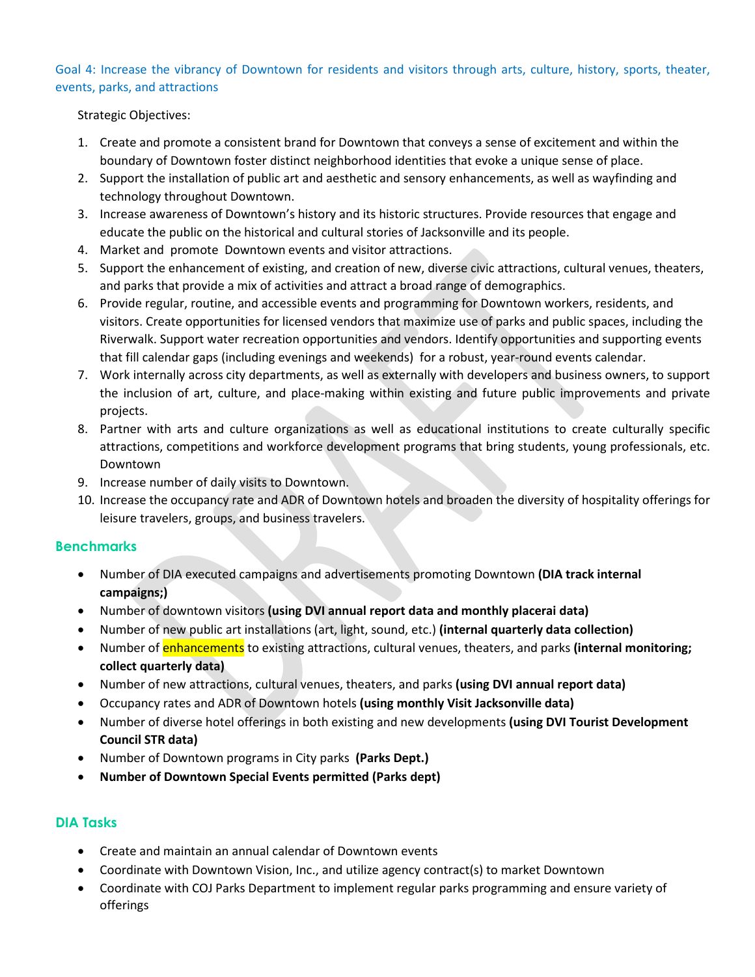Goal 4: Increase the vibrancy of Downtown for residents and visitors through arts, culture, history, sports, theater, events, parks, and attractions

#### Strategic Objectives:

- 1. Create and promote a consistent brand for Downtown that conveys a sense of excitement and within the boundary of Downtown foster distinct neighborhood identities that evoke a unique sense of place.
- 2. Support the installation of public art and aesthetic and sensory enhancements, as well as wayfinding and technology throughout Downtown.
- 3. Increase awareness of Downtown's history and its historic structures. Provide resources that engage and educate the public on the historical and cultural stories of Jacksonville and its people.
- 4. Market and promote Downtown events and visitor attractions.
- 5. Support the enhancement of existing, and creation of new, diverse civic attractions, cultural venues, theaters, and parks that provide a mix of activities and attract a broad range of demographics.
- 6. Provide regular, routine, and accessible events and programming for Downtown workers, residents, and visitors. Create opportunities for licensed vendors that maximize use of parks and public spaces, including the Riverwalk. Support water recreation opportunities and vendors. Identify opportunities and supporting events that fill calendar gaps (including evenings and weekends) for a robust, year-round events calendar.
- 7. Work internally across city departments, as well as externally with developers and business owners, to support the inclusion of art, culture, and place-making within existing and future public improvements and private projects.
- 8. Partner with arts and culture organizations as well as educational institutions to create culturally specific attractions, competitions and workforce development programs that bring students, young professionals, etc. Downtown
- 9. Increase number of daily visits to Downtown.
- 10. Increase the occupancy rate and ADR of Downtown hotels and broaden the diversity of hospitality offerings for leisure travelers, groups, and business travelers.

## **Benchmarks**

- Number of DIA executed campaigns and advertisements promoting Downtown **(DIA track internal campaigns;)**
- Number of downtown visitors **(using DVI annual report data and monthly placerai data)**
- Number of new public art installations (art, light, sound, etc.) **(internal quarterly data collection)**
- Number of enhancements to existing attractions, cultural venues, theaters, and parks **(internal monitoring; collect quarterly data)**
- Number of new attractions, cultural venues, theaters, and parks **(using DVI annual report data)**
- Occupancy rates and ADR of Downtown hotels **(using monthly Visit Jacksonville data)**
- Number of diverse hotel offerings in both existing and new developments **(using DVI Tourist Development Council STR data)**
- Number of Downtown programs in City parks **(Parks Dept.)**
- **Number of Downtown Special Events permitted (Parks dept)**

- Create and maintain an annual calendar of Downtown events
- Coordinate with Downtown Vision, Inc., and utilize agency contract(s) to market Downtown
- Coordinate with COJ Parks Department to implement regular parks programming and ensure variety of offerings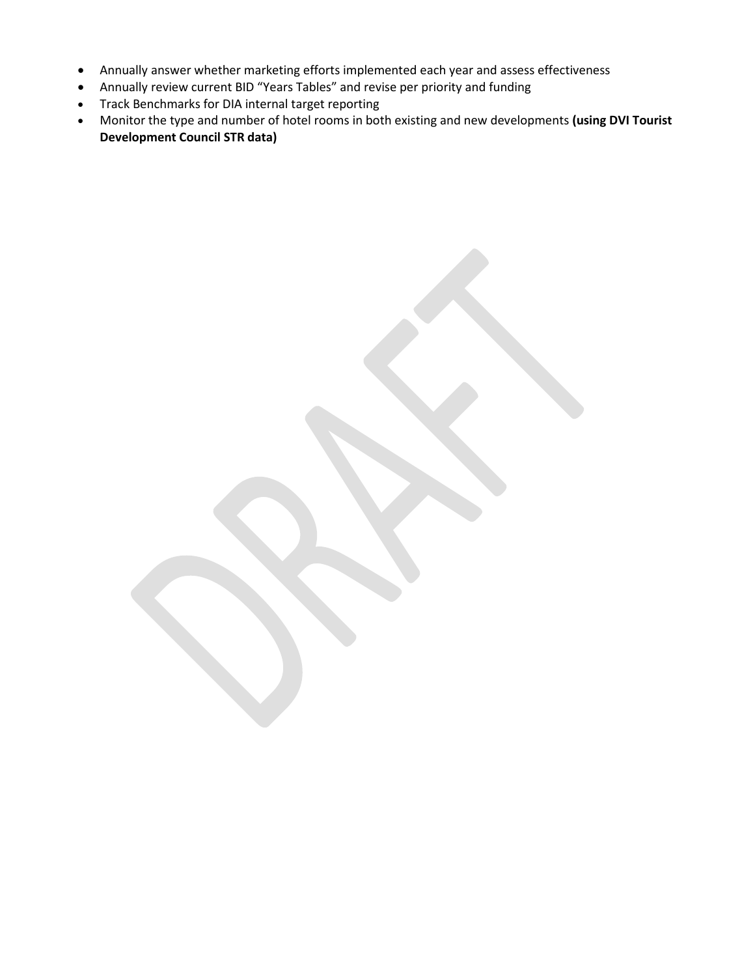- Annually answer whether marketing efforts implemented each year and assess effectiveness
- Annually review current BID "Years Tables" and revise per priority and funding
- Track Benchmarks for DIA internal target reporting
- Monitor the type and number of hotel rooms in both existing and new developments **(using DVI Tourist Development Council STR data)**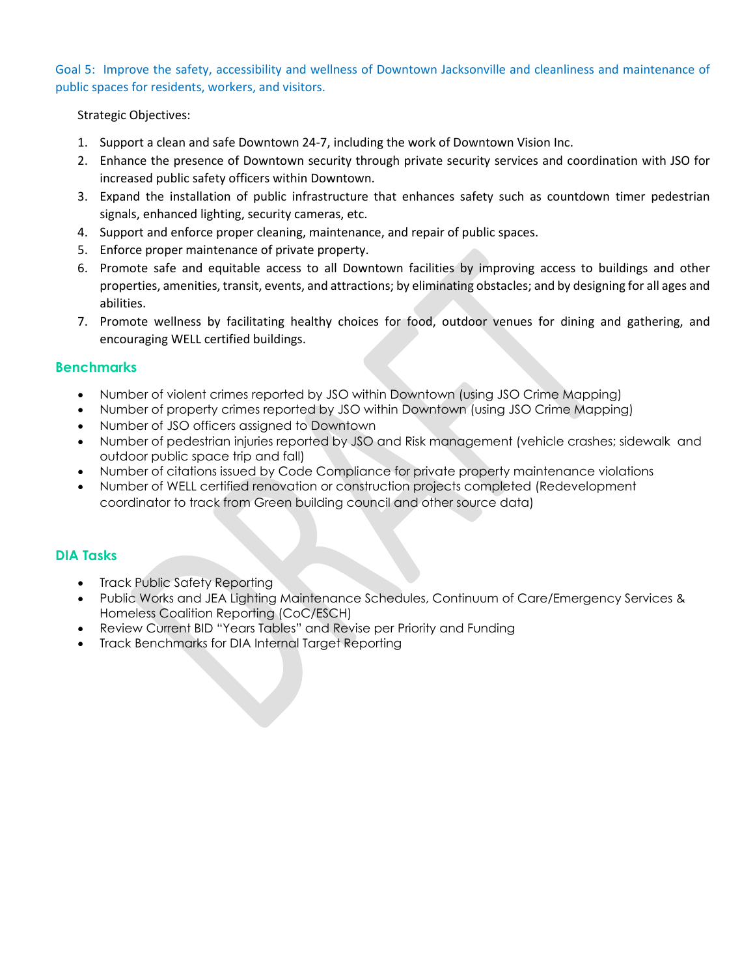Goal 5: Improve the safety, accessibility and wellness of Downtown Jacksonville and cleanliness and maintenance of public spaces for residents, workers, and visitors.

#### Strategic Objectives:

- 1. Support a clean and safe Downtown 24-7, including the work of Downtown Vision Inc.
- 2. Enhance the presence of Downtown security through private security services and coordination with JSO for increased public safety officers within Downtown.
- 3. Expand the installation of public infrastructure that enhances safety such as countdown timer pedestrian signals, enhanced lighting, security cameras, etc.
- 4. Support and enforce proper cleaning, maintenance, and repair of public spaces.
- 5. Enforce proper maintenance of private property.
- 6. Promote safe and equitable access to all Downtown facilities by improving access to buildings and other properties, amenities, transit, events, and attractions; by eliminating obstacles; and by designing for all ages and abilities.
- 7. Promote wellness by facilitating healthy choices for food, outdoor venues for dining and gathering, and encouraging WELL certified buildings.

#### **Benchmarks**

- Number of violent crimes reported by JSO within Downtown (using JSO Crime Mapping)
- Number of property crimes reported by JSO within Downtown (using JSO Crime Mapping)
- Number of JSO officers assigned to Downtown
- Number of pedestrian injuries reported by JSO and Risk management (vehicle crashes; sidewalk and outdoor public space trip and fall)
- Number of citations issued by Code Compliance for private property maintenance violations
- Number of WELL certified renovation or construction projects completed (Redevelopment coordinator to track from Green building council and other source data)

- Track Public Safety Reporting
- Public Works and JEA Lighting Maintenance Schedules, Continuum of Care/Emergency Services & Homeless Coalition Reporting (CoC/ESCH)
- Review Current BID "Years Tables" and Revise per Priority and Funding
- Track Benchmarks for DIA Internal Target Reporting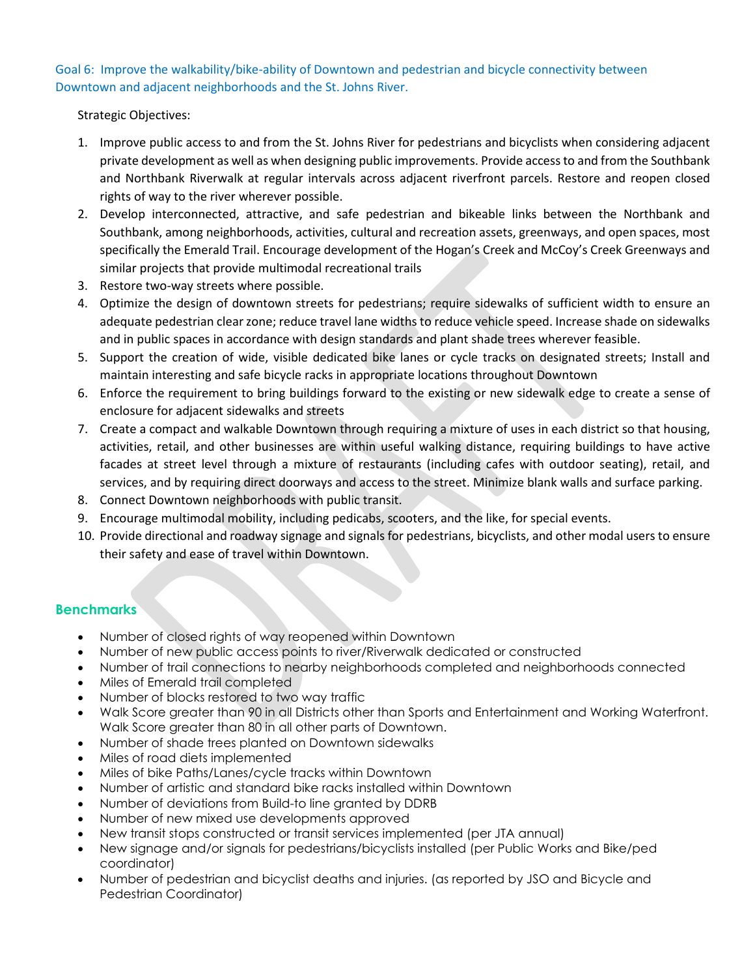Goal 6: Improve the walkability/bike-ability of Downtown and pedestrian and bicycle connectivity between Downtown and adjacent neighborhoods and the St. Johns River.

Strategic Objectives:

- 1. Improve public access to and from the St. Johns River for pedestrians and bicyclists when considering adjacent private development as well as when designing public improvements. Provide access to and from the Southbank and Northbank Riverwalk at regular intervals across adjacent riverfront parcels. Restore and reopen closed rights of way to the river wherever possible.
- 2. Develop interconnected, attractive, and safe pedestrian and bikeable links between the Northbank and Southbank, among neighborhoods, activities, cultural and recreation assets, greenways, and open spaces, most specifically the Emerald Trail. Encourage development of the Hogan's Creek and McCoy's Creek Greenways and similar projects that provide multimodal recreational trails
- 3. Restore two-way streets where possible.
- 4. Optimize the design of downtown streets for pedestrians; require sidewalks of sufficient width to ensure an adequate pedestrian clear zone; reduce travel lane widths to reduce vehicle speed. Increase shade on sidewalks and in public spaces in accordance with design standards and plant shade trees wherever feasible.
- 5. Support the creation of wide, visible dedicated bike lanes or cycle tracks on designated streets; Install and maintain interesting and safe bicycle racks in appropriate locations throughout Downtown
- 6. Enforce the requirement to bring buildings forward to the existing or new sidewalk edge to create a sense of enclosure for adjacent sidewalks and streets
- 7. Create a compact and walkable Downtown through requiring a mixture of uses in each district so that housing, activities, retail, and other businesses are within useful walking distance, requiring buildings to have active facades at street level through a mixture of restaurants (including cafes with outdoor seating), retail, and services, and by requiring direct doorways and access to the street. Minimize blank walls and surface parking.
- 8. Connect Downtown neighborhoods with public transit.
- 9. Encourage multimodal mobility, including pedicabs, scooters, and the like, for special events.
- 10. Provide directional and roadway signage and signals for pedestrians, bicyclists, and other modal users to ensure their safety and ease of travel within Downtown.

- Number of closed rights of way reopened within Downtown
- Number of new public access points to river/Riverwalk dedicated or constructed
- Number of trail connections to nearby neighborhoods completed and neighborhoods connected
- Miles of Emerald trail completed
- Number of blocks restored to two way traffic
- Walk Score greater than 90 in all Districts other than Sports and Entertainment and Working Waterfront. Walk Score greater than 80 in all other parts of Downtown.
- Number of shade trees planted on Downtown sidewalks
- Miles of road diets implemented
- Miles of bike Paths/Lanes/cycle tracks within Downtown
- Number of artistic and standard bike racks installed within Downtown
- Number of deviations from Build-to line granted by DDRB
- Number of new mixed use developments approved
- New transit stops constructed or transit services implemented (per JTA annual)
- New signage and/or signals for pedestrians/bicyclists installed (per Public Works and Bike/ped coordinator)
- Number of pedestrian and bicyclist deaths and injuries. (as reported by JSO and Bicycle and Pedestrian Coordinator)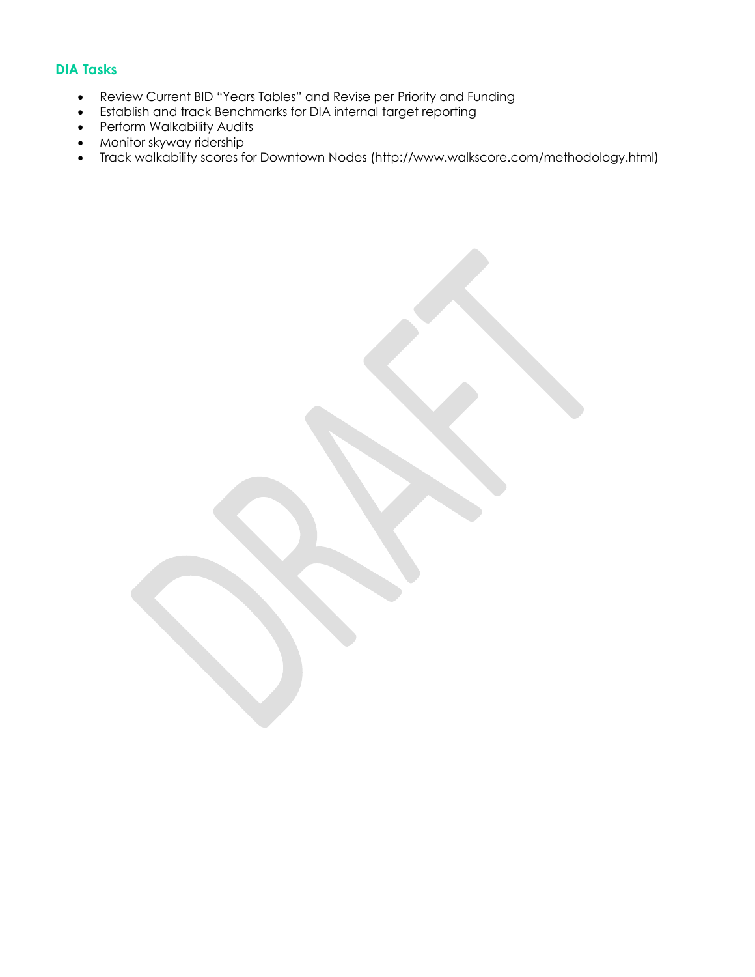- Review Current BID "Years Tables" and Revise per Priority and Funding
- Establish and track Benchmarks for DIA internal target reporting
- Perform Walkability Audits
- Monitor skyway ridership
- Track walkability scores for Downtown Nodes (http://www.walkscore.com/methodology.html)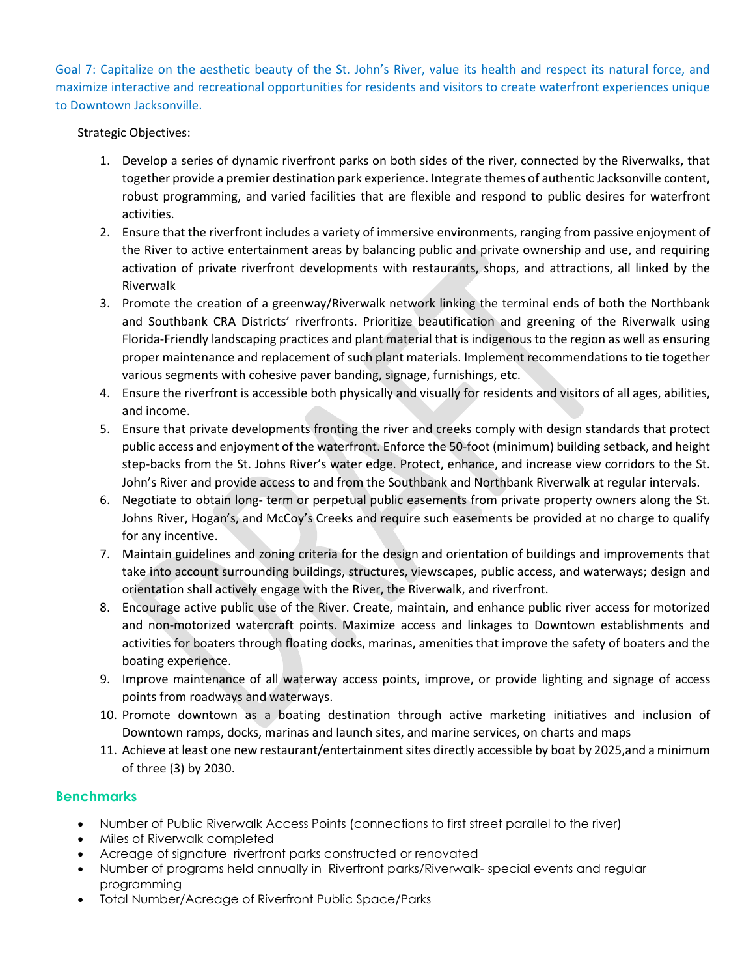Goal 7: Capitalize on the aesthetic beauty of the St. John's River, value its health and respect its natural force, and maximize interactive and recreational opportunities for residents and visitors to create waterfront experiences unique to Downtown Jacksonville.

Strategic Objectives:

- 1. Develop a series of dynamic riverfront parks on both sides of the river, connected by the Riverwalks, that together provide a premier destination park experience. Integrate themes of authentic Jacksonville content, robust programming, and varied facilities that are flexible and respond to public desires for waterfront activities.
- 2. Ensure that the riverfront includes a variety of immersive environments, ranging from passive enjoyment of the River to active entertainment areas by balancing public and private ownership and use, and requiring activation of private riverfront developments with restaurants, shops, and attractions, all linked by the Riverwalk
- 3. Promote the creation of a greenway/Riverwalk network linking the terminal ends of both the Northbank and Southbank CRA Districts' riverfronts. Prioritize beautification and greening of the Riverwalk using Florida-Friendly landscaping practices and plant material that is indigenous to the region as well as ensuring proper maintenance and replacement of such plant materials. Implement recommendations to tie together various segments with cohesive paver banding, signage, furnishings, etc.
- 4. Ensure the riverfront is accessible both physically and visually for residents and visitors of all ages, abilities, and income.
- 5. Ensure that private developments fronting the river and creeks comply with design standards that protect public access and enjoyment of the waterfront. Enforce the 50-foot (minimum) building setback, and height step-backs from the St. Johns River's water edge. Protect, enhance, and increase view corridors to the St. John's River and provide access to and from the Southbank and Northbank Riverwalk at regular intervals.
- 6. Negotiate to obtain long- term or perpetual public easements from private property owners along the St. Johns River, Hogan's, and McCoy's Creeks and require such easements be provided at no charge to qualify for any incentive.
- 7. Maintain guidelines and zoning criteria for the design and orientation of buildings and improvements that take into account surrounding buildings, structures, viewscapes, public access, and waterways; design and orientation shall actively engage with the River, the Riverwalk, and riverfront.
- 8. Encourage active public use of the River. Create, maintain, and enhance public river access for motorized and non-motorized watercraft points. Maximize access and linkages to Downtown establishments and activities for boaters through floating docks, marinas, amenities that improve the safety of boaters and the boating experience.
- 9. Improve maintenance of all waterway access points, improve, or provide lighting and signage of access points from roadways and waterways.
- 10. Promote downtown as a boating destination through active marketing initiatives and inclusion of Downtown ramps, docks, marinas and launch sites, and marine services, on charts and maps
- 11. Achieve at least one new restaurant/entertainment sites directly accessible by boat by 2025,and a minimum of three (3) by 2030.

- Number of Public Riverwalk Access Points (connections to first street parallel to the river)
- Miles of Riverwalk completed
- Acreage of signature riverfront parks constructed or renovated
- Number of programs held annually in Riverfront parks/Riverwalk- special events and regular programming
- Total Number/Acreage of Riverfront Public Space/Parks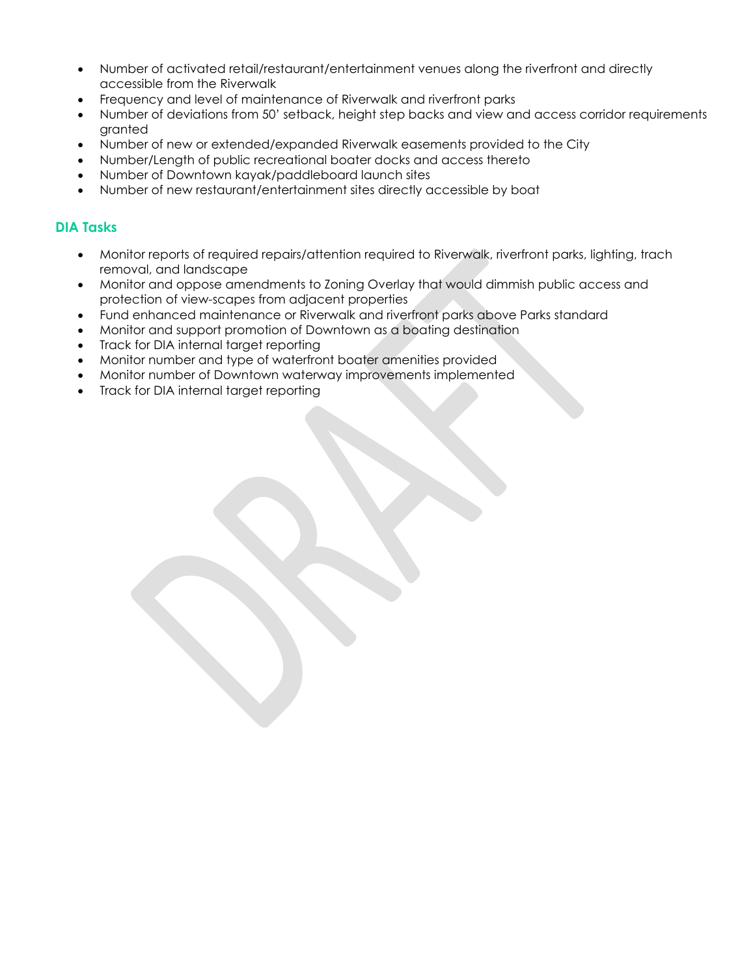- Number of activated retail/restaurant/entertainment venues along the riverfront and directly accessible from the Riverwalk
- Frequency and level of maintenance of Riverwalk and riverfront parks
- Number of deviations from 50' setback, height step backs and view and access corridor requirements granted
- Number of new or extended/expanded Riverwalk easements provided to the City
- Number/Length of public recreational boater docks and access thereto
- Number of Downtown kayak/paddleboard launch sites
- Number of new restaurant/entertainment sites directly accessible by boat

- Monitor reports of required repairs/attention required to Riverwalk, riverfront parks, lighting, trach removal, and landscape
- Monitor and oppose amendments to Zoning Overlay that would dimmish public access and protection of view-scapes from adjacent properties
- Fund enhanced maintenance or Riverwalk and riverfront parks above Parks standard
- Monitor and support promotion of Downtown as a boating destination
- Track for DIA internal target reporting
- Monitor number and type of waterfront boater amenities provided
- Monitor number of Downtown waterway improvements implemented
- Track for DIA internal target reporting